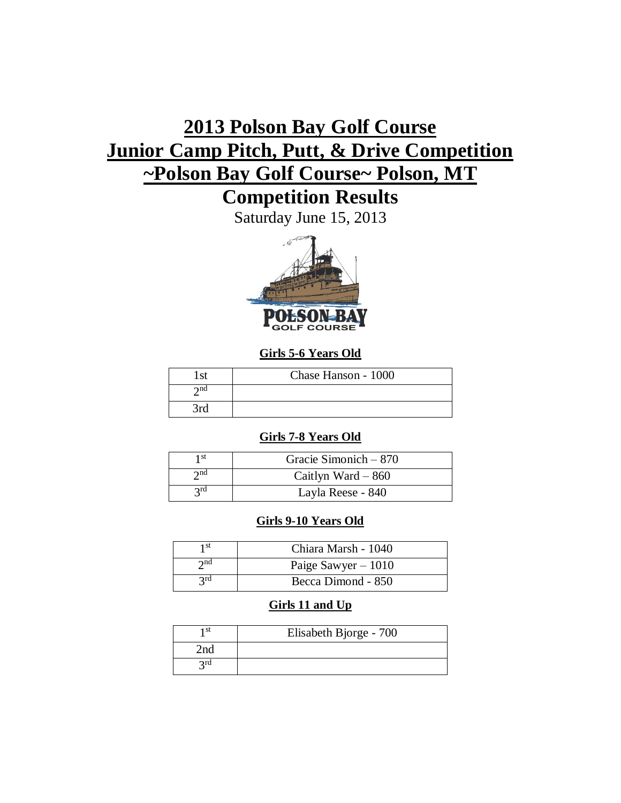# **2013 Polson Bay Golf Course Junior Camp Pitch, Putt, & Drive Competition ~Polson Bay Golf Course~ Polson, MT**

**Competition Results**

Saturday June 15, 2013



## **Girls 5-6 Years Old**

| $\alpha$ | Chase Hanson - 1000 |
|----------|---------------------|
| าnd      |                     |
| 3rd      |                     |

## **Girls 7-8 Years Old**

| 1 st        | Gracie Simonich – 870 |
|-------------|-----------------------|
| $\gamma$ nd | Caitlyn Ward $-860$   |
| 2rd         | Layla Reese - 840     |

## **Girls 9-10 Years Old**

| 1 St     | Chiara Marsh - 1040  |
|----------|----------------------|
| $2^{nd}$ | Paige Sawyer $-1010$ |
| 2rd      | Becca Dimond - 850   |

## **Girls 11 and Up**

| 1 st | Elisabeth Bjorge - 700 |
|------|------------------------|
| 2nd  |                        |
| 2rd  |                        |